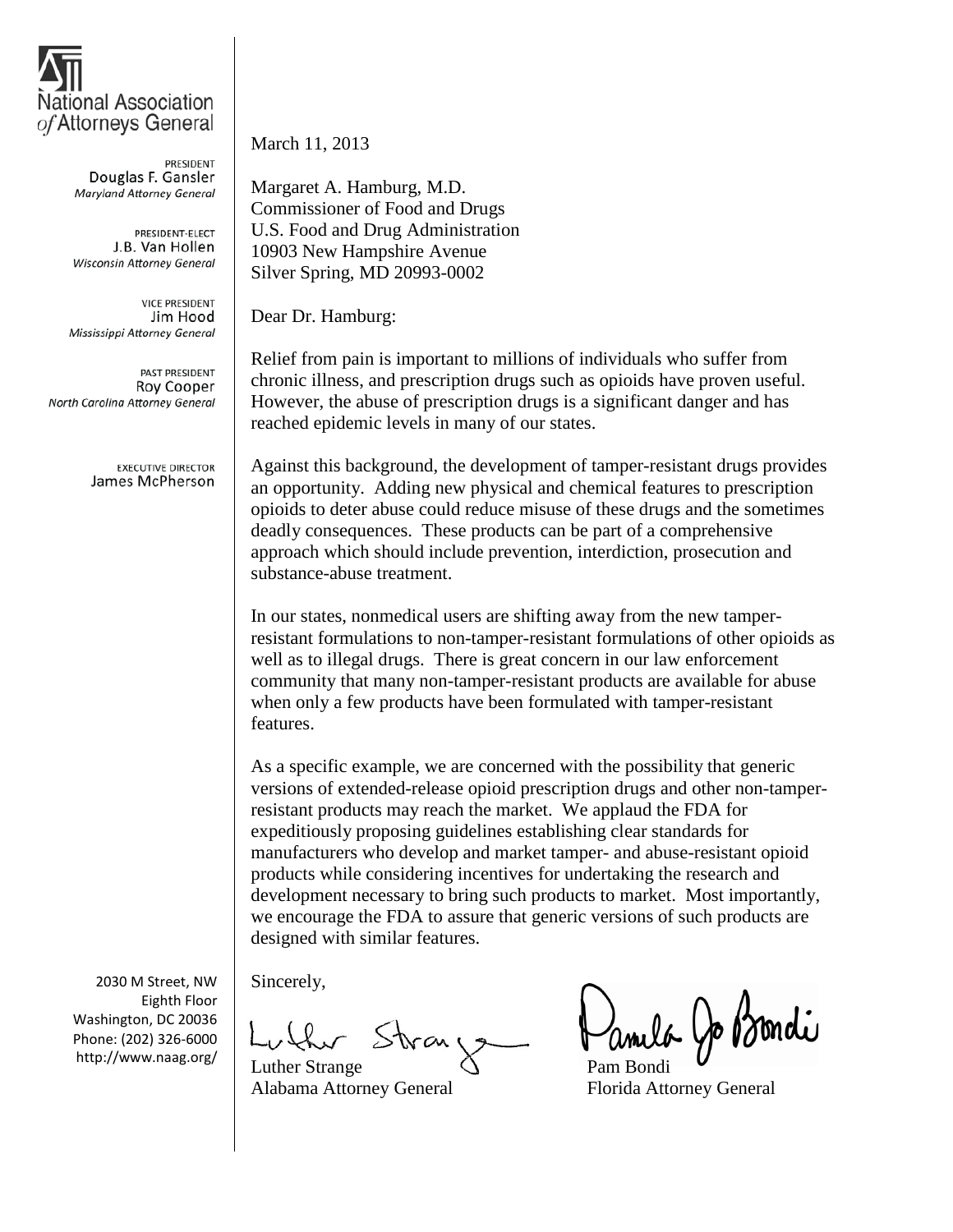

PRESIDENT Douglas F. Gansler **Maryland Attorney General** 

PRESIDENT-ELECT J.B. Van Hollen Wisconsin Attorney General

**VICE PRESIDENT** Jim Hood Mississippi Attorney General

PAST PRESIDENT Roy Cooper North Carolina Attorney General

> **EXECUTIVE DIRECTOR** James McPherson

2030 M Street, NW Eighth Floor Washington, DC 20036 Phone: (202) 326-6000 http://www.naag.org/

March 11, 2013

Margaret A. Hamburg, M.D. Commissioner of Food and Drugs U.S. Food and Drug Administration 10903 New Hampshire Avenue Silver Spring, MD 20993-0002

Dear Dr. Hamburg:

Relief from pain is important to millions of individuals who suffer from chronic illness, and prescription drugs such as opioids have proven useful. However, the abuse of prescription drugs is a significant danger and has reached epidemic levels in many of our states.

Against this background, the development of tamper-resistant drugs provides an opportunity. Adding new physical and chemical features to prescription opioids to deter abuse could reduce misuse of these drugs and the sometimes deadly consequences. These products can be part of a comprehensive approach which should include prevention, interdiction, prosecution and substance-abuse treatment.

In our states, nonmedical users are shifting away from the new tamperresistant formulations to non-tamper-resistant formulations of other opioids as well as to illegal drugs. There is great concern in our law enforcement community that many non-tamper-resistant products are available for abuse when only a few products have been formulated with tamper-resistant features.

As a specific example, we are concerned with the possibility that generic versions of extended-release opioid prescription drugs and other non-tamperresistant products may reach the market. We applaud the FDA for expeditiously proposing guidelines establishing clear standards for manufacturers who develop and market tamper- and abuse-resistant opioid products while considering incentives for undertaking the research and development necessary to bring such products to market. Most importantly, we encourage the FDA to assure that generic versions of such products are designed with similar features.

Sincerely,

the Strait

Luther Strange Alabama Attorney General Florida Attorney General

anula Jo Bondi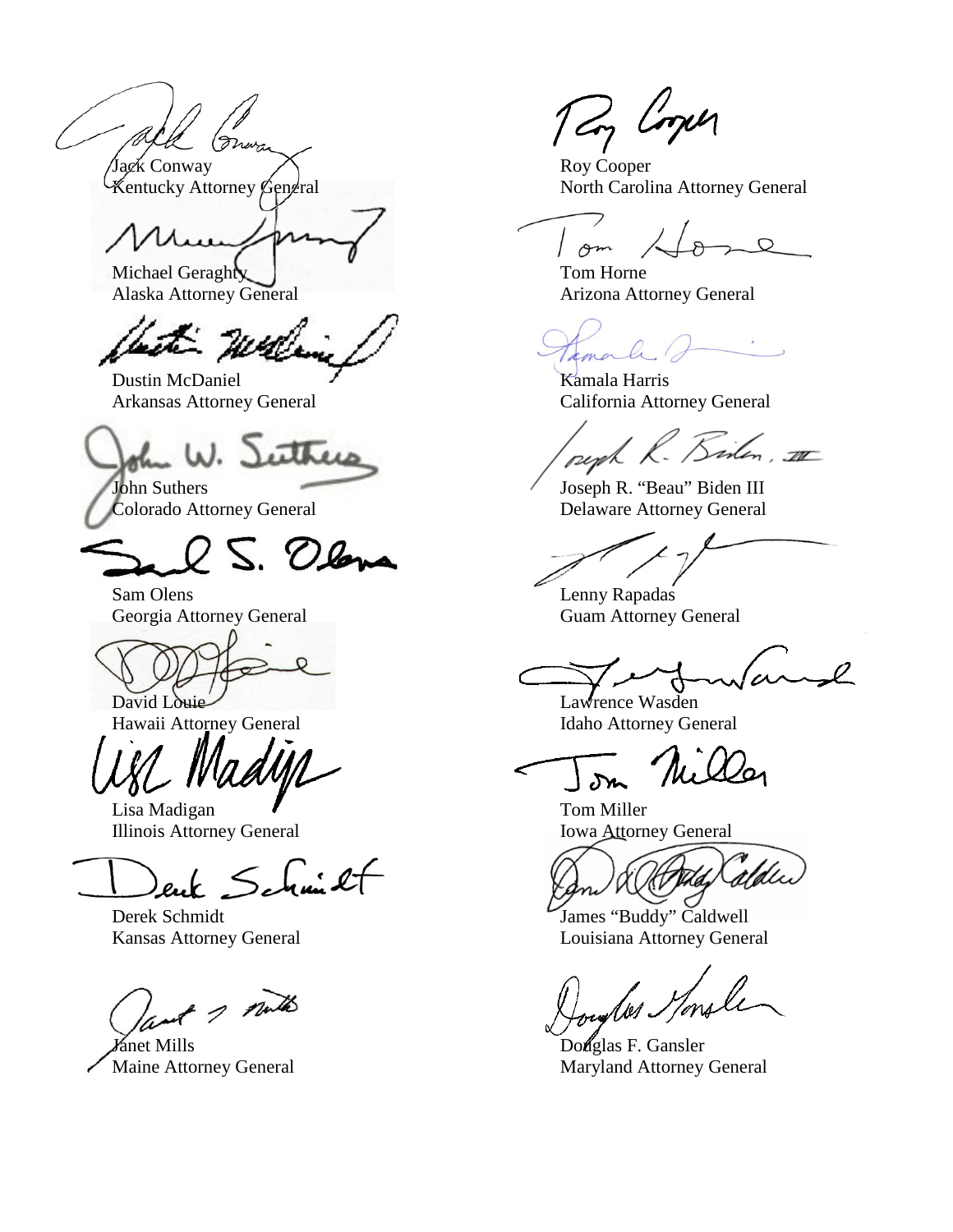Jack Conway<br>
Kentucky Attorney General<br>
North Caroli

Michael Geraghty 1 and 1 and 1 and 1 and 1 and 1 and 1 and 1 and 1 and 1 and 1 and 1 and 1 and 1 and 1 and 1 and 1 and 1 and 1 and 1 and 1 and 1 and 1 and 1 and 1 and 1 and 1 and 1 and 1 and 1 and 1 and 1 and 1 and 1 and 1

it will

Dustin McDaniel  $\overline{X}$  Kamala Harris Arkansas Attorney General California Attorney General

utt  $\ell_{\rm m}$   $\omega$ .

S. Olana

Sam Olens Lenny Rapadas Georgia Attorney General Guam Attorney General

David Louie Lawrence Wasden

Lisa Madigan  $\blacksquare$  Tom Miller Illinois Attorney General Iowa Attorney General

 $\leq$  for  $2f$ 

ant 1 mills

**Janet Mills** Douglas F. Gansler

Tay Coper

North Carolina Attorney General

 $\sim$ 

Alaska Attorney General Arizona Attorney General

amale

peph R. Biten, III

John Suthers Joseph R. "Beau" Biden III Colorado Attorney General Delaware Attorney General

 $\pmb{\mathcal{L}}$ 

Hawaii Attorney General **Idaho Attorney General** 

 $\delta r$ 

Derek Schmidt James "Buddy" Caldwell Kansas Attorney General Louisiana Attorney General

des *He*nsle

Maine Attorney General Maryland Attorney General Maryland Attorney General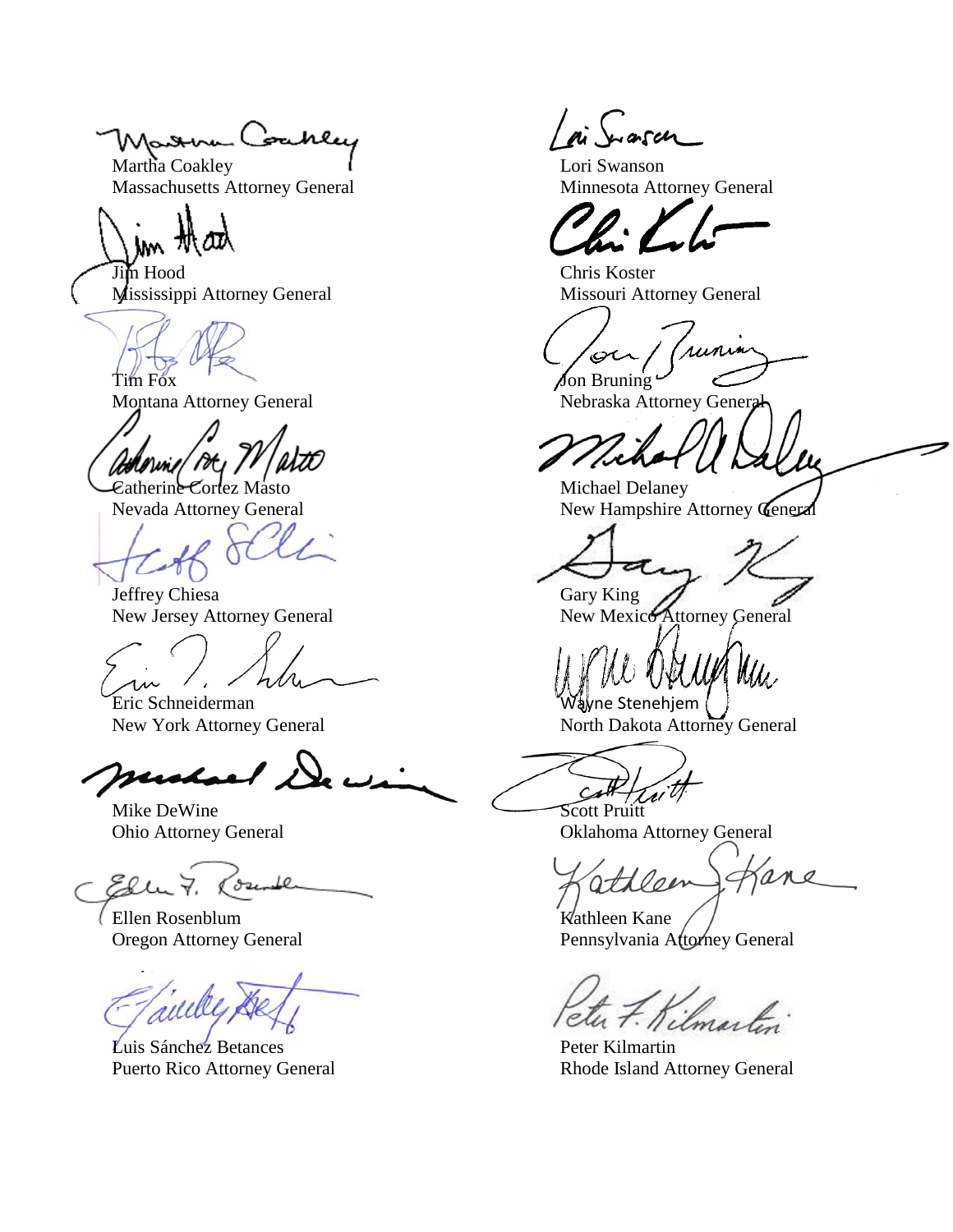Maxwa Coakley

Martha Coakley **Lori Swanson** Massachusetts Attorney General Minnesota Attorney General

Jim Hood Chris Koster Mississippi Attorney General Missouri Attorney General

 $\omega/$  /H  $\prime$ 

Jeffrey Chiesa Gary King

Eric Schneiderman and a stenehjem (Wayne Stenehjem (

susho

Mike DeWine Scott Pruitt

Ellu 7. ounder

(Ellen Rosenblum Kathleen Kane Kathleen Kane Kathleen Kane Kathleen Kane Kathleen Kane Kathleen Kane Kathleen Kane Kathleen Kane Kathleen Kane Kathleen Kane Kathleen Kane Kathleen Kane Kathleen Kane Kathleen Kathleen Kane

multe

Luis Sánchez Betances Peter Kilmartin

runin بمصر  $\lim$  Fox  $\int$  on Bruning  $\lim_{x \to a}$ 

Montana Attorney General Nebraska Attorney General

Catherine Cortez Masto Michael Delaney Nevada Attorney General New Hampshire Attorney General

New Jersey Attorney General New Mexico Attorney General

New York Attorney General North Dakota Attorney General

Ohio Attorney General Oklahoma Attorney General

Hlon

Pennsylvania Attorney General

Kilmartin

Puerto Rico Attorney General Rhode Island Attorney General